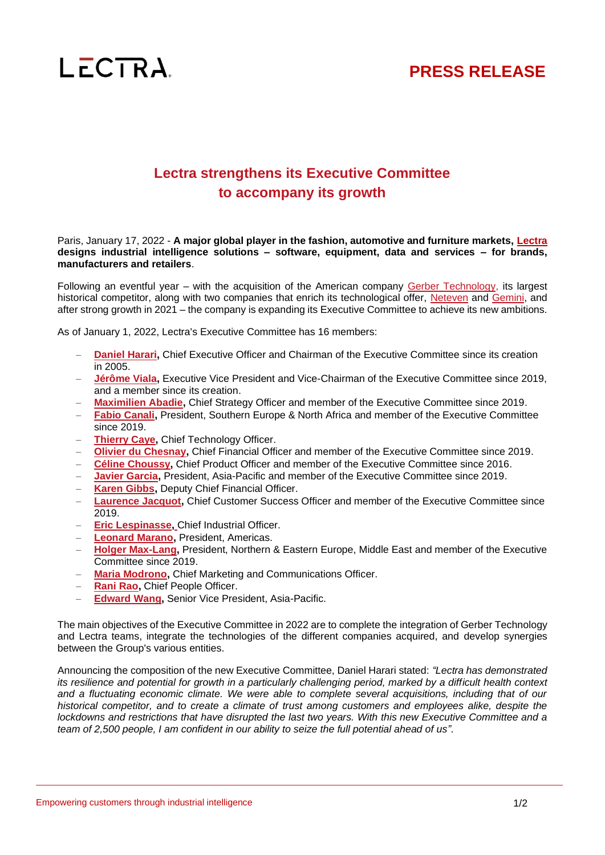



## **Lectra strengthens its Executive Committee to accompany its growth**

Paris, January 17, 2022 - **A major global player in the fashion, automotive and furniture markets, [Lectra](https://www.lectra.com/) designs industrial intelligence solutions – software, equipment, data and services – for brands, manufacturers and retailers**.

Following an eventful year – with the acquisition of the American company [Gerber Technology,](https://www.lectra.com/sites/default/files/2021-06/pr-gerber-technology-acquisition-finalized-06-01-2021-en.pdf) its largest historical competitor, along with two companies that enrich its technological offer, [Neteven](https://www.lectra.com/sites/default/files/2021-06/pr-neteven-acquisition-en.pdf) and [Gemini,](https://www.lectra.com/sites/default/files/2021-09/pr-Gemini-acquisition-en.pdf) and after strong growth in 2021 – the company is expanding its Executive Committee to achieve its new ambitions.

As of January 1, 2022, Lectra's Executive Committee has 16 members:

- **[Daniel Harari,](https://www.lectra.com/en/investors/corporate-governance/executive-committee/daniel-harari) Chief Executive Officer and Chairman of the Executive Committee since its creation** in 2005.
- − **[Jérôme Viala,](https://www.lectra.com/en/investors/corporate-governance/executive-committee/jerome-viala)** Executive Vice President and Vice-Chairman of the Executive Committee since 2019, and a member since its creation.
- − **[Maximilien Abadie,](https://www.lectra.com/en/investors/corporate-governance/executive-committee/maximilien-abadie)** Chief Strategy Officer and member of the Executive Committee since 2019.
- − **[Fabio Canali,](https://www.lectra.com/en/investors/corporate-governance/executive-committee/fabio-canali)** President, Southern Europe & North Africa and member of the Executive Committee since 2019.
- **[Thierry Caye,](https://www.lectra.com/en/investors/corporate-governance/executive-committee/thierry-caye) Chief Technology Officer.**
- − **[Olivier du Chesnay,](https://www.lectra.com/en/investors/corporate-governance/executive-committee/olivier-du-chesnay)** Chief Financial Officer and member of the Executive Committee since 2019.
- − **[Céline Choussy,](https://www.lectra.com/en/investors/corporate-governance/executive-committee/celine-choussy)** Chief Product Officer and member of the Executive Committee since 2016.
- − **[Javier Garcia,](https://www.lectra.com/en/investors/corporate-governance/executive-committee/javier-garcia)** President, Asia-Pacific and member of the Executive Committee since 2019.
- **[Karen Gibbs,](https://www.lectra.com/en/investors/corporate-governance/executive-committee/karen-gibbs) Deputy Chief Financial Officer.**
- **[Laurence Jacquot,](https://www.lectra.com/en/investors/corporate-governance/executive-committee/laurence-jacquot)** Chief Customer Success Officer and member of the Executive Committee since 2019.
- **[Eric Lespinasse,](https://www.lectra.com/en/investors/corporate-governance/executive-committee/eric-lespinasse) Chief Industrial Officer.**
- − **[Leonard Marano,](https://www.lectra.com/en/investors/corporate-governance/executive-committee/leonard-marano)** President, Americas.
- − **[Holger Max-Lang,](https://www.lectra.com/en/investors/corporate-governance/executive-committee/holger-max-lang)** President, Northern & Eastern Europe, Middle East and member of the Executive Committee since 2019.
- **[Maria Modrono,](https://www.lectra.com/en/investors/corporate-governance/executive-committee/maria-modrono) Chief Marketing and Communications Officer.**
- **[Rani Rao,](https://www.lectra.com/en/investors/corporate-governance/executive-committee/rani-rao) Chief People Officer.**
- − **[Edward Wang,](https://www.lectra.com/en/investors/corporate-governance/executive-committee/edward-wang)** Senior Vice President, Asia-Pacific.

The main objectives of the Executive Committee in 2022 are to complete the integration of Gerber Technology and Lectra teams, integrate the technologies of the different companies acquired, and develop synergies between the Group's various entities.

Announcing the composition of the new Executive Committee, Daniel Harari stated: *"Lectra has demonstrated its resilience and potential for growth in a particularly challenging period, marked by a difficult health context and a fluctuating economic climate. We were able to complete several acquisitions, including that of our historical competitor, and to create a climate of trust among customers and employees alike, despite the lockdowns and restrictions that have disrupted the last two years. With this new Executive Committee and a team of 2,500 people, I am confident in our ability to seize the full potential ahead of us"*.